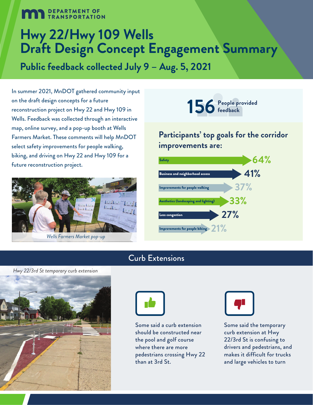# **DEPARTMENT OF TRANSPORTATION**

# **Hwy 22/Hwy 109 Wells Draft Design Concept Engagement Summary**

**Public feedback collected July 9 – Aug. 5, 2021**

In summer 2021, MnDOT gathered community input on the draft design concepts for a future reconstruction project on Hwy 22 and Hwy 109 in Wells. Feedback was collected through an interactive map, online survey, and a pop-up booth at Wells Farmers Market. These comments will help MnDOT select safety improvements for people walking, biking, and driving on Hwy 22 and Hwy 109 for a future reconstruction project.





## **Participants' top goals for the corridor improvements are:**



## Curb Extensions





Some said a curb extension should be constructed near the pool and golf course where there are more pedestrians crossing Hwy 22 than at 3rd St.



Some said the temporary curb extension at Hwy 22/3rd St is confusing to drivers and pedestrians, and makes it difficult for trucks and large vehicles to turn